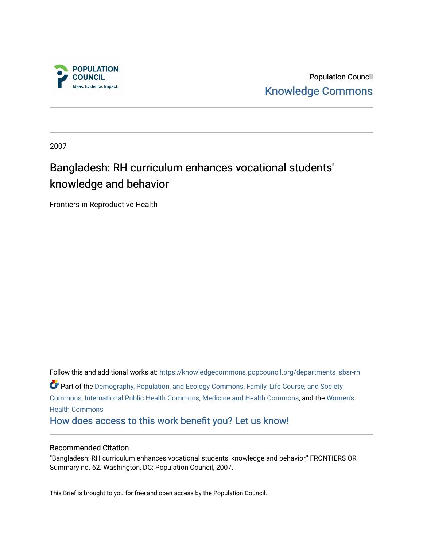

Population Council [Knowledge Commons](https://knowledgecommons.popcouncil.org/) 

2007

## Bangladesh: RH curriculum enhances vocational students' knowledge and behavior

Frontiers in Reproductive Health

Follow this and additional works at: [https://knowledgecommons.popcouncil.org/departments\\_sbsr-rh](https://knowledgecommons.popcouncil.org/departments_sbsr-rh?utm_source=knowledgecommons.popcouncil.org%2Fdepartments_sbsr-rh%2F1400&utm_medium=PDF&utm_campaign=PDFCoverPages)  Part of the [Demography, Population, and Ecology Commons,](https://network.bepress.com/hgg/discipline/418?utm_source=knowledgecommons.popcouncil.org%2Fdepartments_sbsr-rh%2F1400&utm_medium=PDF&utm_campaign=PDFCoverPages) [Family, Life Course, and Society](https://network.bepress.com/hgg/discipline/419?utm_source=knowledgecommons.popcouncil.org%2Fdepartments_sbsr-rh%2F1400&utm_medium=PDF&utm_campaign=PDFCoverPages)  [Commons](https://network.bepress.com/hgg/discipline/419?utm_source=knowledgecommons.popcouncil.org%2Fdepartments_sbsr-rh%2F1400&utm_medium=PDF&utm_campaign=PDFCoverPages), [International Public Health Commons,](https://network.bepress.com/hgg/discipline/746?utm_source=knowledgecommons.popcouncil.org%2Fdepartments_sbsr-rh%2F1400&utm_medium=PDF&utm_campaign=PDFCoverPages) [Medicine and Health Commons,](https://network.bepress.com/hgg/discipline/422?utm_source=knowledgecommons.popcouncil.org%2Fdepartments_sbsr-rh%2F1400&utm_medium=PDF&utm_campaign=PDFCoverPages) and the [Women's](https://network.bepress.com/hgg/discipline/1241?utm_source=knowledgecommons.popcouncil.org%2Fdepartments_sbsr-rh%2F1400&utm_medium=PDF&utm_campaign=PDFCoverPages)  [Health Commons](https://network.bepress.com/hgg/discipline/1241?utm_source=knowledgecommons.popcouncil.org%2Fdepartments_sbsr-rh%2F1400&utm_medium=PDF&utm_campaign=PDFCoverPages)  [How does access to this work benefit you? Let us know!](https://pcouncil.wufoo.com/forms/open-access-to-population-council-research/)

#### Recommended Citation

"Bangladesh: RH curriculum enhances vocational students' knowledge and behavior," FRONTIERS OR Summary no. 62. Washington, DC: Population Council, 2007.

This Brief is brought to you for free and open access by the Population Council.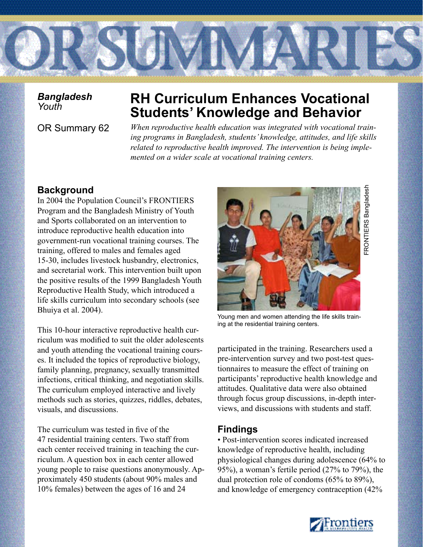

*Bangladesh* 

# **RH Curriculum Enhances Vocational Students' Knowledge and Behavior**

OR Summary 62 *When reproductive health education was integrated with vocational training programs in Bangladesh, students' knowledge, attitudes, and life skills related to reproductive health improved. The intervention is being implemented on a wider scale at vocational training centers.* 

## **Background**

In 2004 the Population Council's FRONTIERS Program and the Bangladesh Ministry of Youth and Sports collaborated on an intervention to introduce reproductive health education into government-run vocational training courses. The training, offered to males and females aged 15-30, includes livestock husbandry, electronics, and secretarial work. This intervention built upon the positive results of the 1999 Bangladesh Youth Reproductive Health Study, which introduced a life skills curriculum into secondary schools (see Bhuiya et al. 2004).

This 10-hour interactive reproductive health curriculum was modified to suit the older adolescents and youth attending the vocational training courses. It included the topics of reproductive biology, family planning, pregnancy, sexually transmitted infections, critical thinking, and negotiation skills. The curriculum employed interactive and lively methods such as stories, quizzes, riddles, debates, visuals, and discussions.

The curriculum was tested in five of the 47 residential training centers. Two staff from each center received training in teaching the curriculum. A question box in each center allowed young people to raise questions anonymously. Approximately 450 students (about 90% males and 10% females) between the ages of 16 and 24



Young men and women attending the life skills training at the residential training centers.

participated in the training. Researchers used a pre-intervention survey and two post-test questionnaires to measure the effect of training on participants' reproductive health knowledge and attitudes. Qualitative data were also obtained through focus group discussions, in-depth interviews, and discussions with students and staff.

## **Findings**

• Post-intervention scores indicated increased knowledge of reproductive health, including physiological changes during adolescence (64% to 95%), a woman's fertile period (27% to 79%), the dual protection role of condoms (65% to 89%), and knowledge of emergency contraception (42%